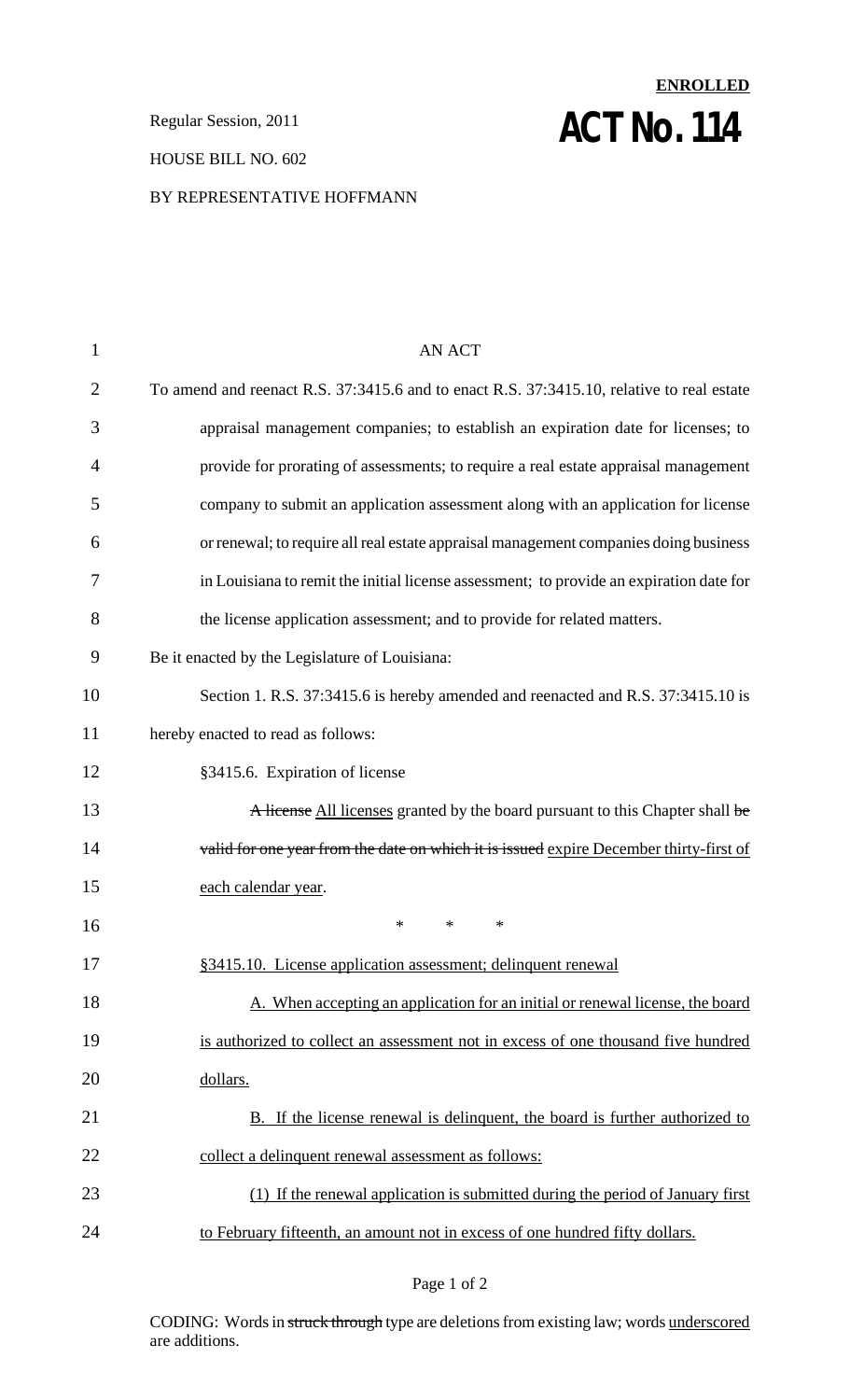**Regular Session, 2011 ACT NO. 114** 

#### HOUSE BILL NO. 602

#### BY REPRESENTATIVE HOFFMANN

# 1 AN ACT 2 To amend and reenact R.S. 37:3415.6 and to enact R.S. 37:3415.10, relative to real estate 3 appraisal management companies; to establish an expiration date for licenses; to 4 provide for prorating of assessments; to require a real estate appraisal management 5 company to submit an application assessment along with an application for license 6 orrenewal; to require allreal estate appraisal management companies doing business 7 in Louisiana to remit the initial license assessment; to provide an expiration date for 8 the license application assessment; and to provide for related matters. 9 Be it enacted by the Legislature of Louisiana: 10 Section 1. R.S. 37:3415.6 is hereby amended and reenacted and R.S. 37:3415.10 is 11 hereby enacted to read as follows: 12 §3415.6. Expiration of license 13 A license All licenses granted by the board pursuant to this Chapter shall be 14 valid for one year from the date on which it is issued expire December thirty-first of 15 each calendar year.  $16$  \* \* \* 17 §3415.10. License application assessment; delinquent renewal 18 A. When accepting an application for an initial or renewal license, the board 19 is authorized to collect an assessment not in excess of one thousand five hundred 20 dollars. 21 B. If the license renewal is delinquent, the board is further authorized to 22 collect a delinquent renewal assessment as follows: 23 (1) If the renewal application is submitted during the period of January first 24 to February fifteenth, an amount not in excess of one hundred fifty dollars.

**ENROLLED**

#### Page 1 of 2

CODING: Words in struck through type are deletions from existing law; words underscored are additions.